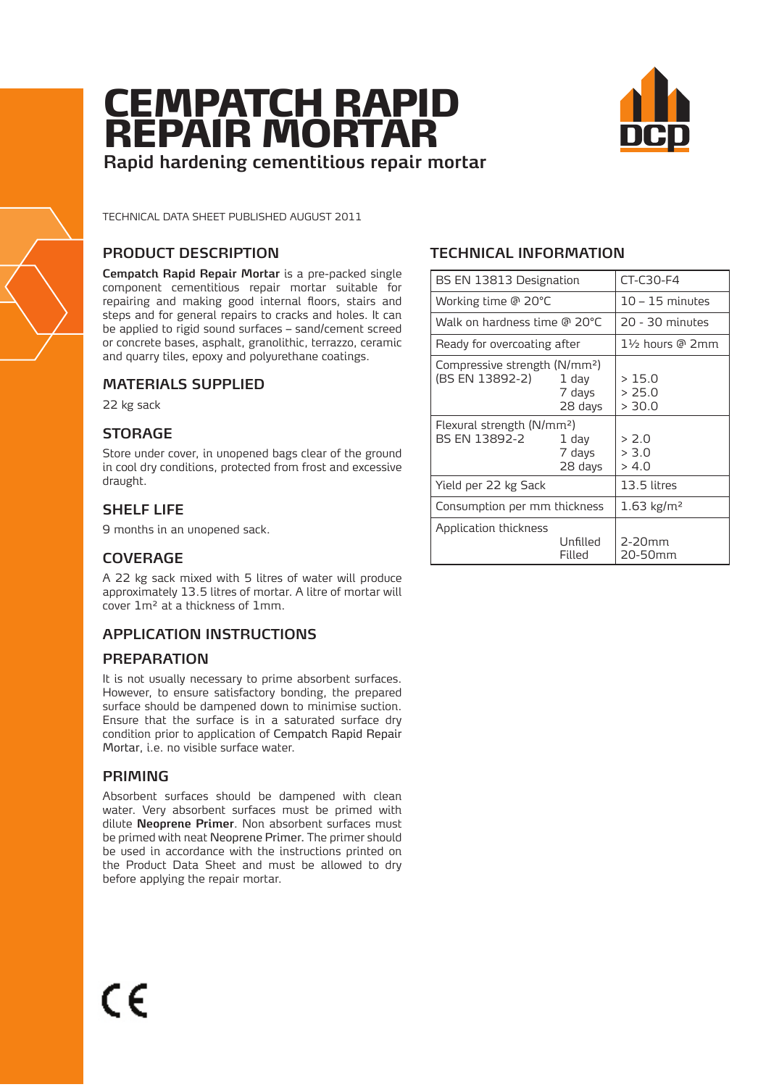# CEMPATCH RAPID REPAIR MORTAR **Rapid hardening cementitious repair mortar**



TECHNICAL DATA SHEET PUBLISHED AUGUST 2011

## **PRODUCT DESCRIPTION**

**Cempatch Rapid Repair Mortar** is a pre-packed single component cementitious repair mortar suitable for repairing and making good internal floors, stairs and steps and for general repairs to cracks and holes. It can be applied to rigid sound surfaces – sand/cement screed or concrete bases, asphalt, granolithic, terrazzo, ceramic and quarry tiles, epoxy and polyurethane coatings.

## **MATERIALS SUPPLIED**

22 kg sack

## **STORAGE**

Store under cover, in unopened bags clear of the ground in cool dry conditions, protected from frost and excessive draught.

## **SHELF LIFE**

9 months in an unopened sack.

## **COVERAGE**

A 22 kg sack mixed with 5 litres of water will produce approximately 13.5 litres of mortar. A litre of mortar will cover 1m² at a thickness of 1mm.

## **APPLICATION INSTRUCTIONS**

## **PREPARATION**

It is not usually necessary to prime absorbent surfaces. However, to ensure satisfactory bonding, the prepared surface should be dampened down to minimise suction. Ensure that the surface is in a saturated surface dry condition prior to application of Cempatch Rapid Repair Mortar, i.e. no visible surface water.

## **PRIMING**

Absorbent surfaces should be dampened with clean water. Very absorbent surfaces must be primed with dilute **Neoprene Primer**. Non absorbent surfaces must be primed with neat Neoprene Primer. The primer should be used in accordance with the instructions printed on the Product Data Sheet and must be allowed to dry before applying the repair mortar.

## **TECHNICAL INFORMATION**

| BS EN 13813 Designation                                      |                            | CT-C30-F4                 |
|--------------------------------------------------------------|----------------------------|---------------------------|
| Working time @ 20°C                                          |                            | $10 - 15$ minutes         |
| Walk on hardness time @ 20°C                                 |                            | 20 - 30 minutes           |
| Ready for overcoating after                                  |                            | 1½ hours @ 2mm            |
| Compressive strength (N/mm <sup>2</sup> )<br>(BS EN 13892-2) | 1 dav<br>7 days<br>28 days | >15.0<br>> 25.0<br>> 30.0 |
| Flexural strength (N/mm <sup>2</sup> )<br>BS EN 13892-2      | 1 dav<br>7 days<br>28 days | > 2.0<br>> 3.0<br>> 4.0   |
| Yield per 22 kg Sack                                         |                            | 13.5 litres               |
| Consumption per mm thickness                                 |                            | $1.63 \text{ kg/m}^2$     |
| Application thickness                                        | Unfilled<br>Filled         | $2-20mm$<br>20-50mm       |